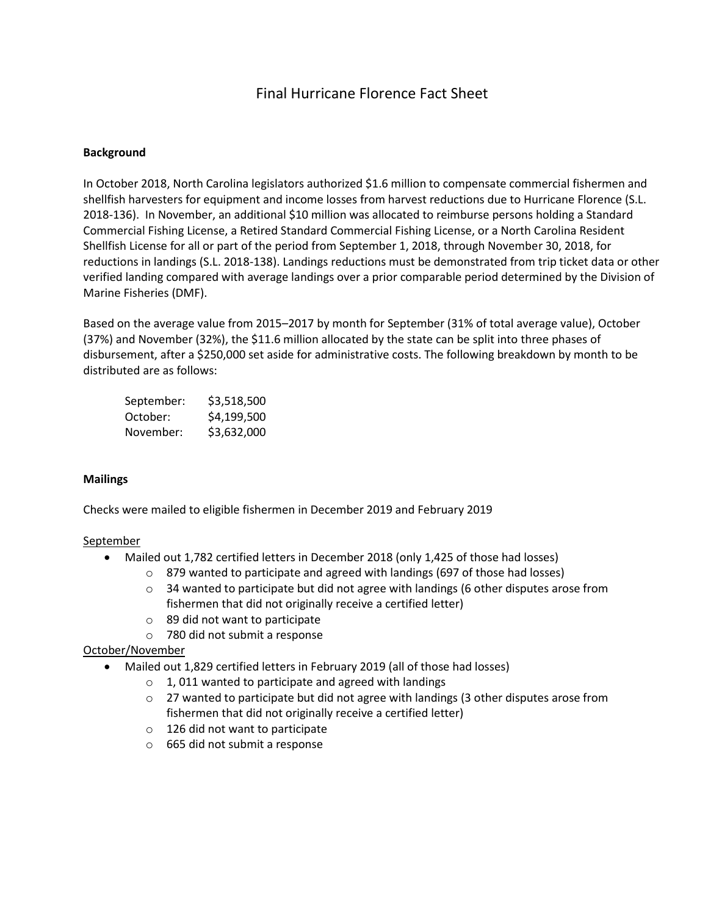# Final Hurricane Florence Fact Sheet

# **Background**

In October 2018, North Carolina legislators authorized \$1.6 million to compensate commercial fishermen and shellfish harvesters for equipment and income losses from harvest reductions due to Hurricane Florence (S.L. 2018-136). In November, an additional \$10 million was allocated to reimburse persons holding a Standard Commercial Fishing License, a Retired Standard Commercial Fishing License, or a North Carolina Resident Shellfish License for all or part of the period from September 1, 2018, through November 30, 2018, for reductions in landings (S.L. 2018-138). Landings reductions must be demonstrated from trip ticket data or other verified landing compared with average landings over a prior comparable period determined by the Division of Marine Fisheries (DMF).

Based on the average value from 2015–2017 by month for September (31% of total average value), October (37%) and November (32%), the \$11.6 million allocated by the state can be split into three phases of disbursement, after a \$250,000 set aside for administrative costs. The following breakdown by month to be distributed are as follows:

| September: | \$3,518,500 |
|------------|-------------|
| October:   | \$4,199,500 |
| November:  | \$3,632,000 |

# **Mailings**

Checks were mailed to eligible fishermen in December 2019 and February 2019

#### September

- Mailed out 1,782 certified letters in December 2018 (only 1,425 of those had losses)
	- o 879 wanted to participate and agreed with landings (697 of those had losses)
	- $\circ$  34 wanted to participate but did not agree with landings (6 other disputes arose from fishermen that did not originally receive a certified letter)
	- $\circ$  89 did not want to participate
	- o 780 did not submit a response

# October/November

- Mailed out 1,829 certified letters in February 2019 (all of those had losses)
	- $\circ$  1, 011 wanted to participate and agreed with landings
	- $\circ$  27 wanted to participate but did not agree with landings (3 other disputes arose from fishermen that did not originally receive a certified letter)
	- o 126 did not want to participate
	- o 665 did not submit a response